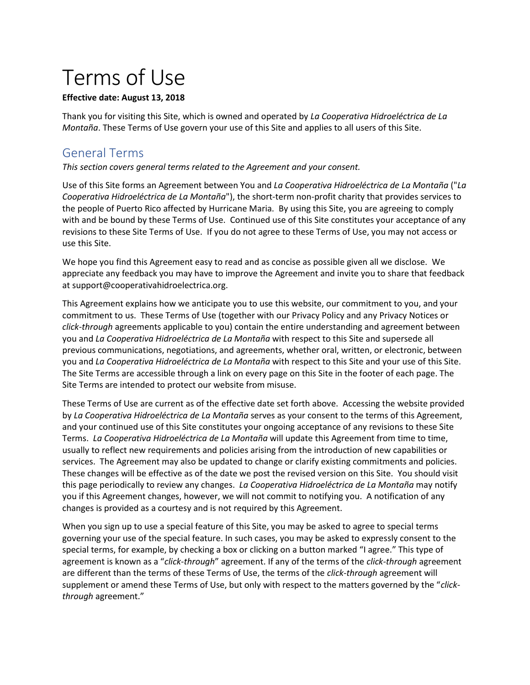# Terms of Use

#### **Effective date: August 13, 2018**

Thank you for visiting this Site, which is owned and operated by *La Cooperativa Hidroeléctrica de La Montaña*. These Terms of Use govern your use of this Site and applies to all users of this Site.

# General Terms

*This section covers general terms related to the Agreement and your consent.*

Use of this Site forms an Agreement between You and *La Cooperativa Hidroeléctrica de La Montaña* ("*La Cooperativa Hidroeléctrica de La Montaña*"), the short-term non-profit charity that provides services to the people of Puerto Rico affected by Hurricane Maria. By using this Site, you are agreeing to comply with and be bound by these Terms of Use. Continued use of this Site constitutes your acceptance of any revisions to these Site Terms of Use. If you do not agree to these Terms of Use, you may not access or use this Site.

We hope you find this Agreement easy to read and as concise as possible given all we disclose. We appreciate any feedback you may have to improve the Agreement and invite you to share that feedback at support@cooperativahidroelectrica.org.

This Agreement explains how we anticipate you to use this website, our commitment to you, and your commitment to us. These Terms of Use (together with our Privacy Policy and any Privacy Notices or *click-through* agreements applicable to you) contain the entire understanding and agreement between you and *La Cooperativa Hidroeléctrica de La Montaña* with respect to this Site and supersede all previous communications, negotiations, and agreements, whether oral, written, or electronic, between you and *La Cooperativa Hidroeléctrica de La Montaña* with respect to this Site and your use of this Site. The Site Terms are accessible through a link on every page on this Site in the footer of each page. The Site Terms are intended to protect our website from misuse.

These Terms of Use are current as of the effective date set forth above. Accessing the website provided by *La Cooperativa Hidroeléctrica de La Montaña* serves as your consent to the terms of this Agreement, and your continued use of this Site constitutes your ongoing acceptance of any revisions to these Site Terms. *La Cooperativa Hidroeléctrica de La Montaña* will update this Agreement from time to time, usually to reflect new requirements and policies arising from the introduction of new capabilities or services. The Agreement may also be updated to change or clarify existing commitments and policies. These changes will be effective as of the date we post the revised version on this Site. You should visit this page periodically to review any changes. *La Cooperativa Hidroeléctrica de La Montaña* may notify you if this Agreement changes, however, we will not commit to notifying you. A notification of any changes is provided as a courtesy and is not required by this Agreement.

When you sign up to use a special feature of this Site, you may be asked to agree to special terms governing your use of the special feature. In such cases, you may be asked to expressly consent to the special terms, for example, by checking a box or clicking on a button marked "I agree." This type of agreement is known as a "*click-through*" agreement. If any of the terms of the *click-through* agreement are different than the terms of these Terms of Use, the terms of the *click-through* agreement will supplement or amend these Terms of Use, but only with respect to the matters governed by the "*clickthrough* agreement."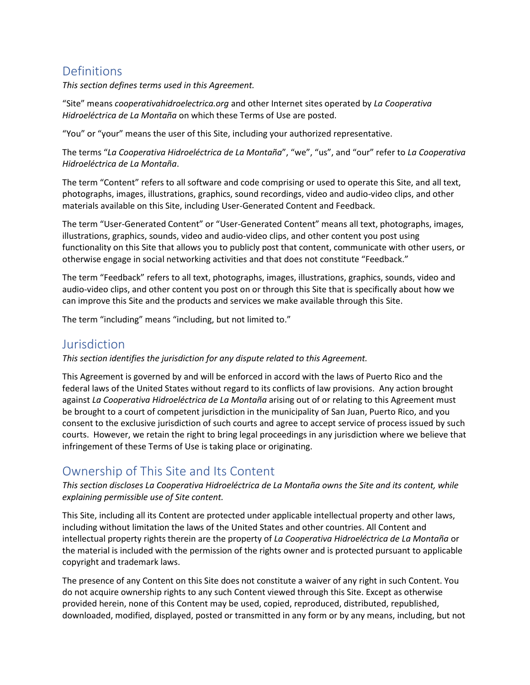# Definitions

*This section defines terms used in this Agreement.*

"Site" means *cooperativahidroelectrica.org* and other Internet sites operated by *La Cooperativa Hidroeléctrica de La Montaña* on which these Terms of Use are posted.

"You" or "your" means the user of this Site, including your authorized representative.

The terms "*La Cooperativa Hidroeléctrica de La Montaña*", "we", "us", and "our" refer to *La Cooperativa Hidroeléctrica de La Montaña*.

The term "Content" refers to all software and code comprising or used to operate this Site, and all text, photographs, images, illustrations, graphics, sound recordings, video and audio-video clips, and other materials available on this Site, including User-Generated Content and Feedback.

The term "User-Generated Content" or "User-Generated Content" means all text, photographs, images, illustrations, graphics, sounds, video and audio-video clips, and other content you post using functionality on this Site that allows you to publicly post that content, communicate with other users, or otherwise engage in social networking activities and that does not constitute "Feedback."

The term "Feedback" refers to all text, photographs, images, illustrations, graphics, sounds, video and audio-video clips, and other content you post on or through this Site that is specifically about how we can improve this Site and the products and services we make available through this Site.

The term "including" means "including, but not limited to."

#### **Jurisdiction**

*This section identifies the jurisdiction for any dispute related to this Agreement.*

This Agreement is governed by and will be enforced in accord with the laws of Puerto Rico and the federal laws of the United States without regard to its conflicts of law provisions. Any action brought against *La Cooperativa Hidroeléctrica de La Montaña* arising out of or relating to this Agreement must be brought to a court of competent jurisdiction in the municipality of San Juan, Puerto Rico, and you consent to the exclusive jurisdiction of such courts and agree to accept service of process issued by such courts. However, we retain the right to bring legal proceedings in any jurisdiction where we believe that infringement of these Terms of Use is taking place or originating.

# Ownership of This Site and Its Content

*This section discloses La Cooperativa Hidroeléctrica de La Montaña owns the Site and its content, while explaining permissible use of Site content.*

This Site, including all its Content are protected under applicable intellectual property and other laws, including without limitation the laws of the United States and other countries. All Content and intellectual property rights therein are the property of *La Cooperativa Hidroeléctrica de La Montaña* or the material is included with the permission of the rights owner and is protected pursuant to applicable copyright and trademark laws.

The presence of any Content on this Site does not constitute a waiver of any right in such Content. You do not acquire ownership rights to any such Content viewed through this Site. Except as otherwise provided herein, none of this Content may be used, copied, reproduced, distributed, republished, downloaded, modified, displayed, posted or transmitted in any form or by any means, including, but not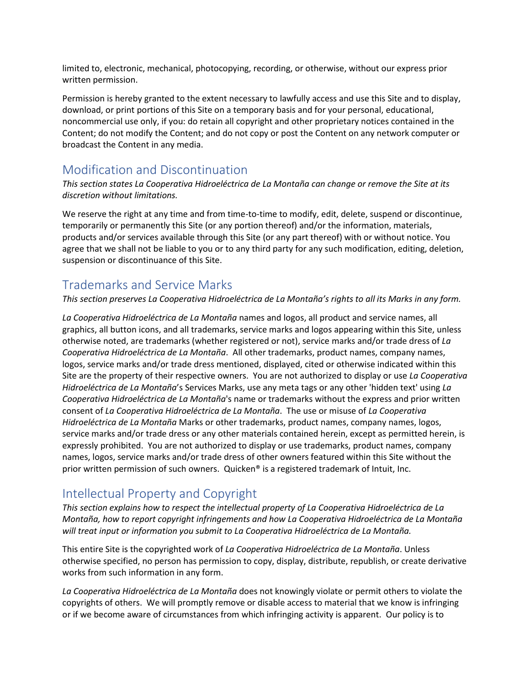limited to, electronic, mechanical, photocopying, recording, or otherwise, without our express prior written permission.

Permission is hereby granted to the extent necessary to lawfully access and use this Site and to display, download, or print portions of this Site on a temporary basis and for your personal, educational, noncommercial use only, if you: do retain all copyright and other proprietary notices contained in the Content; do not modify the Content; and do not copy or post the Content on any network computer or broadcast the Content in any media.

### Modification and Discontinuation

*This section states La Cooperativa Hidroeléctrica de La Montaña can change or remove the Site at its discretion without limitations.*

We reserve the right at any time and from time-to-time to modify, edit, delete, suspend or discontinue, temporarily or permanently this Site (or any portion thereof) and/or the information, materials, products and/or services available through this Site (or any part thereof) with or without notice. You agree that we shall not be liable to you or to any third party for any such modification, editing, deletion, suspension or discontinuance of this Site.

# Trademarks and Service Marks

*This section preserves La Cooperativa Hidroeléctrica de La Montaña's rights to all its Marks in any form.*

*La Cooperativa Hidroeléctrica de La Montaña* names and logos, all product and service names, all graphics, all button icons, and all trademarks, service marks and logos appearing within this Site, unless otherwise noted, are trademarks (whether registered or not), service marks and/or trade dress of *La Cooperativa Hidroeléctrica de La Montaña*. All other trademarks, product names, company names, logos, service marks and/or trade dress mentioned, displayed, cited or otherwise indicated within this Site are the property of their respective owners. You are not authorized to display or use *La Cooperativa Hidroeléctrica de La Montaña*'s Services Marks, use any meta tags or any other 'hidden text' using *La Cooperativa Hidroeléctrica de La Montaña*'s name or trademarks without the express and prior written consent of *La Cooperativa Hidroeléctrica de La Montaña*. The use or misuse of *La Cooperativa Hidroeléctrica de La Montaña* Marks or other trademarks, product names, company names, logos, service marks and/or trade dress or any other materials contained herein, except as permitted herein, is expressly prohibited. You are not authorized to display or use trademarks, product names, company names, logos, service marks and/or trade dress of other owners featured within this Site without the prior written permission of such owners. Quicken® is a registered trademark of Intuit, Inc.

# Intellectual Property and Copyright

*This section explains how to respect the intellectual property of La Cooperativa Hidroeléctrica de La Montaña, how to report copyright infringements and how La Cooperativa Hidroeléctrica de La Montaña will treat input or information you submit to La Cooperativa Hidroeléctrica de La Montaña.*

This entire Site is the copyrighted work of *La Cooperativa Hidroeléctrica de La Montaña*. Unless otherwise specified, no person has permission to copy, display, distribute, republish, or create derivative works from such information in any form.

*La Cooperativa Hidroeléctrica de La Montaña* does not knowingly violate or permit others to violate the copyrights of others. We will promptly remove or disable access to material that we know is infringing or if we become aware of circumstances from which infringing activity is apparent. Our policy is to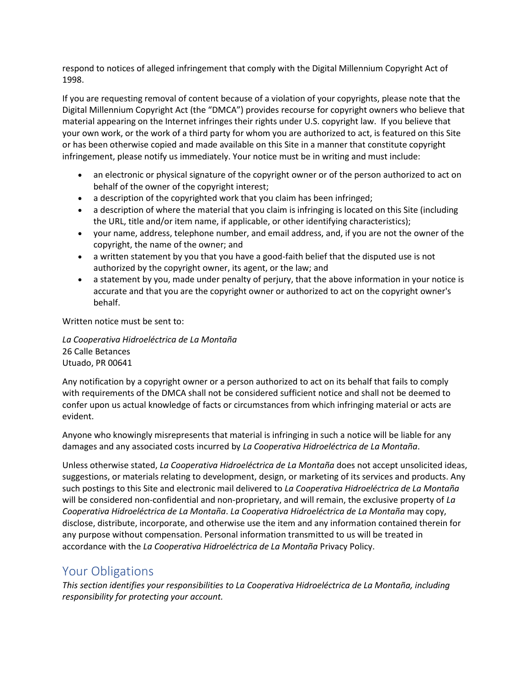respond to notices of alleged infringement that comply with the Digital Millennium Copyright Act of 1998.

If you are requesting removal of content because of a violation of your copyrights, please note that the Digital Millennium Copyright Act (the "DMCA") provides recourse for copyright owners who believe that material appearing on the Internet infringes their rights under U.S. copyright law. If you believe that your own work, or the work of a third party for whom you are authorized to act, is featured on this Site or has been otherwise copied and made available on this Site in a manner that constitute copyright infringement, please notify us immediately. Your notice must be in writing and must include:

- an electronic or physical signature of the copyright owner or of the person authorized to act on behalf of the owner of the copyright interest;
- a description of the copyrighted work that you claim has been infringed;
- a description of where the material that you claim is infringing is located on this Site (including the URL, title and/or item name, if applicable, or other identifying characteristics);
- your name, address, telephone number, and email address, and, if you are not the owner of the copyright, the name of the owner; and
- a written statement by you that you have a good-faith belief that the disputed use is not authorized by the copyright owner, its agent, or the law; and
- a statement by you, made under penalty of perjury, that the above information in your notice is accurate and that you are the copyright owner or authorized to act on the copyright owner's behalf.

Written notice must be sent to:

*La Cooperativa Hidroeléctrica de La Montaña* 26 Calle Betances Utuado, PR 00641

Any notification by a copyright owner or a person authorized to act on its behalf that fails to comply with requirements of the DMCA shall not be considered sufficient notice and shall not be deemed to confer upon us actual knowledge of facts or circumstances from which infringing material or acts are evident.

Anyone who knowingly misrepresents that material is infringing in such a notice will be liable for any damages and any associated costs incurred by *La Cooperativa Hidroeléctrica de La Montaña*.

Unless otherwise stated, *La Cooperativa Hidroeléctrica de La Montaña* does not accept unsolicited ideas, suggestions, or materials relating to development, design, or marketing of its services and products. Any such postings to this Site and electronic mail delivered to *La Cooperativa Hidroeléctrica de La Montaña* will be considered non-confidential and non-proprietary, and will remain, the exclusive property of *La Cooperativa Hidroeléctrica de La Montaña*. *La Cooperativa Hidroeléctrica de La Montaña* may copy, disclose, distribute, incorporate, and otherwise use the item and any information contained therein for any purpose without compensation. Personal information transmitted to us will be treated in accordance with the *La Cooperativa Hidroeléctrica de La Montaña* Privacy Policy.

#### Your Obligations

*This section identifies your responsibilities to La Cooperativa Hidroeléctrica de La Montaña, including responsibility for protecting your account.*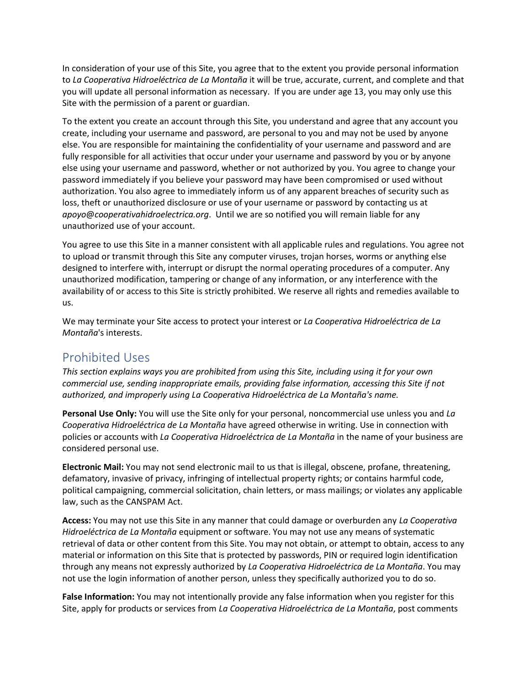In consideration of your use of this Site, you agree that to the extent you provide personal information to *La Cooperativa Hidroeléctrica de La Montaña* it will be true, accurate, current, and complete and that you will update all personal information as necessary. If you are under age 13, you may only use this Site with the permission of a parent or guardian.

To the extent you create an account through this Site, you understand and agree that any account you create, including your username and password, are personal to you and may not be used by anyone else. You are responsible for maintaining the confidentiality of your username and password and are fully responsible for all activities that occur under your username and password by you or by anyone else using your username and password, whether or not authorized by you. You agree to change your password immediately if you believe your password may have been compromised or used without authorization. You also agree to immediately inform us of any apparent breaches of security such as loss, theft or unauthorized disclosure or use of your username or password by contacting us at *apoyo*@*cooperativahidroelectrica.org*. Until we are so notified you will remain liable for any unauthorized use of your account.

You agree to use this Site in a manner consistent with all applicable rules and regulations. You agree not to upload or transmit through this Site any computer viruses, trojan horses, worms or anything else designed to interfere with, interrupt or disrupt the normal operating procedures of a computer. Any unauthorized modification, tampering or change of any information, or any interference with the availability of or access to this Site is strictly prohibited. We reserve all rights and remedies available to us.

We may terminate your Site access to protect your interest or *La Cooperativa Hidroeléctrica de La Montaña*'s interests.

### Prohibited Uses

*This section explains ways you are prohibited from using this Site, including using it for your own commercial use, sending inappropriate emails, providing false information, accessing this Site if not authorized, and improperly using La Cooperativa Hidroeléctrica de La Montaña's name.*

**Personal Use Only:** You will use the Site only for your personal, noncommercial use unless you and *La Cooperativa Hidroeléctrica de La Montaña* have agreed otherwise in writing. Use in connection with policies or accounts with *La Cooperativa Hidroeléctrica de La Montaña* in the name of your business are considered personal use.

**Electronic Mail:** You may not send electronic mail to us that is illegal, obscene, profane, threatening, defamatory, invasive of privacy, infringing of intellectual property rights; or contains harmful code, political campaigning, commercial solicitation, chain letters, or mass mailings; or violates any applicable law, such as the CANSPAM Act.

**Access:** You may not use this Site in any manner that could damage or overburden any *La Cooperativa Hidroeléctrica de La Montaña* equipment or software. You may not use any means of systematic retrieval of data or other content from this Site. You may not obtain, or attempt to obtain, access to any material or information on this Site that is protected by passwords, PIN or required login identification through any means not expressly authorized by *La Cooperativa Hidroeléctrica de La Montaña*. You may not use the login information of another person, unless they specifically authorized you to do so.

**False Information:** You may not intentionally provide any false information when you register for this Site, apply for products or services from *La Cooperativa Hidroeléctrica de La Montaña*, post comments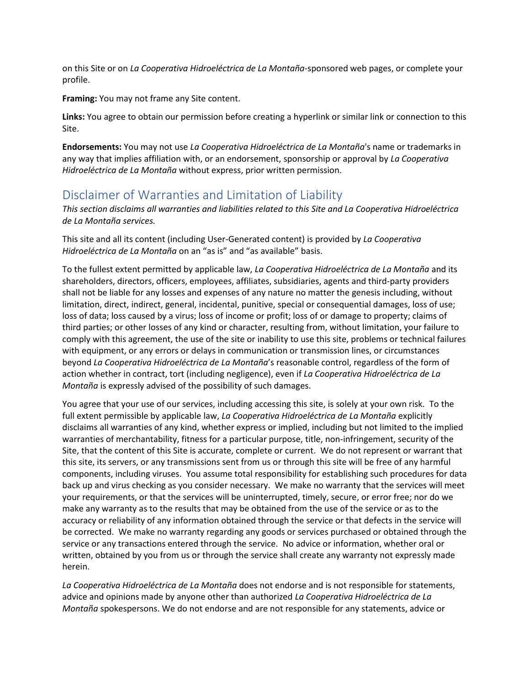on this Site or on *La Cooperativa Hidroeléctrica de La Montaña*-sponsored web pages, or complete your profile.

**Framing:** You may not frame any Site content.

**Links:** You agree to obtain our permission before creating a hyperlink or similar link or connection to this Site.

**Endorsements:** You may not use *La Cooperativa Hidroeléctrica de La Montaña*'s name or trademarks in any way that implies affiliation with, or an endorsement, sponsorship or approval by *La Cooperativa Hidroeléctrica de La Montaña* without express, prior written permission.

### Disclaimer of Warranties and Limitation of Liability

*This section disclaims all warranties and liabilities related to this Site and La Cooperativa Hidroeléctrica de La Montaña services.*

This site and all its content (including User-Generated content) is provided by *La Cooperativa Hidroeléctrica de La Montaña* on an "as is" and "as available" basis.

To the fullest extent permitted by applicable law, *La Cooperativa Hidroeléctrica de La Montaña* and its shareholders, directors, officers, employees, affiliates, subsidiaries, agents and third-party providers shall not be liable for any losses and expenses of any nature no matter the genesis including, without limitation, direct, indirect, general, incidental, punitive, special or consequential damages, loss of use; loss of data; loss caused by a virus; loss of income or profit; loss of or damage to property; claims of third parties; or other losses of any kind or character, resulting from, without limitation, your failure to comply with this agreement, the use of the site or inability to use this site, problems or technical failures with equipment, or any errors or delays in communication or transmission lines, or circumstances beyond *La Cooperativa Hidroeléctrica de La Montaña*'s reasonable control, regardless of the form of action whether in contract, tort (including negligence), even if *La Cooperativa Hidroeléctrica de La Montaña* is expressly advised of the possibility of such damages.

You agree that your use of our services, including accessing this site, is solely at your own risk. To the full extent permissible by applicable law, *La Cooperativa Hidroeléctrica de La Montaña* explicitly disclaims all warranties of any kind, whether express or implied, including but not limited to the implied warranties of merchantability, fitness for a particular purpose, title, non-infringement, security of the Site, that the content of this Site is accurate, complete or current. We do not represent or warrant that this site, its servers, or any transmissions sent from us or through this site will be free of any harmful components, including viruses. You assume total responsibility for establishing such procedures for data back up and virus checking as you consider necessary. We make no warranty that the services will meet your requirements, or that the services will be uninterrupted, timely, secure, or error free; nor do we make any warranty as to the results that may be obtained from the use of the service or as to the accuracy or reliability of any information obtained through the service or that defects in the service will be corrected. We make no warranty regarding any goods or services purchased or obtained through the service or any transactions entered through the service. No advice or information, whether oral or written, obtained by you from us or through the service shall create any warranty not expressly made herein.

*La Cooperativa Hidroeléctrica de La Montaña* does not endorse and is not responsible for statements, advice and opinions made by anyone other than authorized *La Cooperativa Hidroeléctrica de La Montaña* spokespersons. We do not endorse and are not responsible for any statements, advice or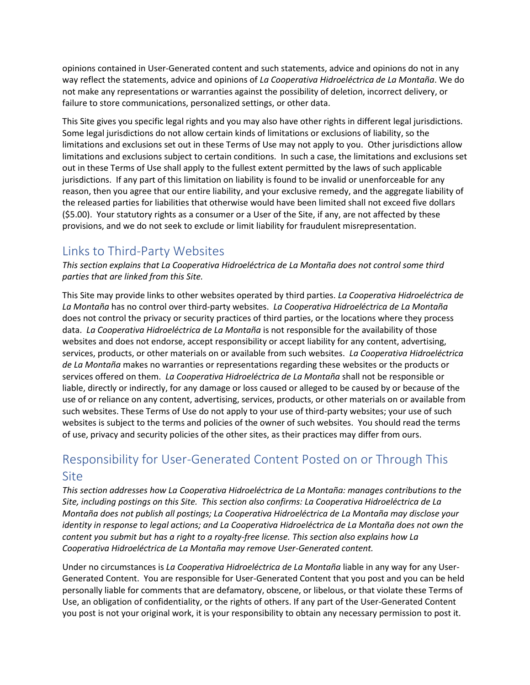opinions contained in User-Generated content and such statements, advice and opinions do not in any way reflect the statements, advice and opinions of *La Cooperativa Hidroeléctrica de La Montaña*. We do not make any representations or warranties against the possibility of deletion, incorrect delivery, or failure to store communications, personalized settings, or other data.

This Site gives you specific legal rights and you may also have other rights in different legal jurisdictions. Some legal jurisdictions do not allow certain kinds of limitations or exclusions of liability, so the limitations and exclusions set out in these Terms of Use may not apply to you. Other jurisdictions allow limitations and exclusions subject to certain conditions. In such a case, the limitations and exclusions set out in these Terms of Use shall apply to the fullest extent permitted by the laws of such applicable jurisdictions. If any part of this limitation on liability is found to be invalid or unenforceable for any reason, then you agree that our entire liability, and your exclusive remedy, and the aggregate liability of the released parties for liabilities that otherwise would have been limited shall not exceed five dollars (\$5.00). Your statutory rights as a consumer or a User of the Site, if any, are not affected by these provisions, and we do not seek to exclude or limit liability for fraudulent misrepresentation.

# Links to Third-Party Websites

*This section explains that La Cooperativa Hidroeléctrica de La Montaña does not control some third parties that are linked from this Site.*

This Site may provide links to other websites operated by third parties. *La Cooperativa Hidroeléctrica de La Montaña* has no control over third-party websites. *La Cooperativa Hidroeléctrica de La Montaña* does not control the privacy or security practices of third parties, or the locations where they process data. *La Cooperativa Hidroeléctrica de La Montaña* is not responsible for the availability of those websites and does not endorse, accept responsibility or accept liability for any content, advertising, services, products, or other materials on or available from such websites. *La Cooperativa Hidroeléctrica de La Montaña* makes no warranties or representations regarding these websites or the products or services offered on them. *La Cooperativa Hidroeléctrica de La Montaña* shall not be responsible or liable, directly or indirectly, for any damage or loss caused or alleged to be caused by or because of the use of or reliance on any content, advertising, services, products, or other materials on or available from such websites. These Terms of Use do not apply to your use of third-party websites; your use of such websites is subject to the terms and policies of the owner of such websites. You should read the terms of use, privacy and security policies of the other sites, as their practices may differ from ours.

# Responsibility for User-Generated Content Posted on or Through This Site

*This section addresses how La Cooperativa Hidroeléctrica de La Montaña: manages contributions to the Site, including postings on this Site. This section also confirms: La Cooperativa Hidroeléctrica de La Montaña does not publish all postings; La Cooperativa Hidroeléctrica de La Montaña may disclose your identity in response to legal actions; and La Cooperativa Hidroeléctrica de La Montaña does not own the content you submit but has a right to a royalty-free license. This section also explains how La Cooperativa Hidroeléctrica de La Montaña may remove User-Generated content.*

Under no circumstances is *La Cooperativa Hidroeléctrica de La Montaña* liable in any way for any User-Generated Content. You are responsible for User-Generated Content that you post and you can be held personally liable for comments that are defamatory, obscene, or libelous, or that violate these Terms of Use, an obligation of confidentiality, or the rights of others. If any part of the User-Generated Content you post is not your original work, it is your responsibility to obtain any necessary permission to post it.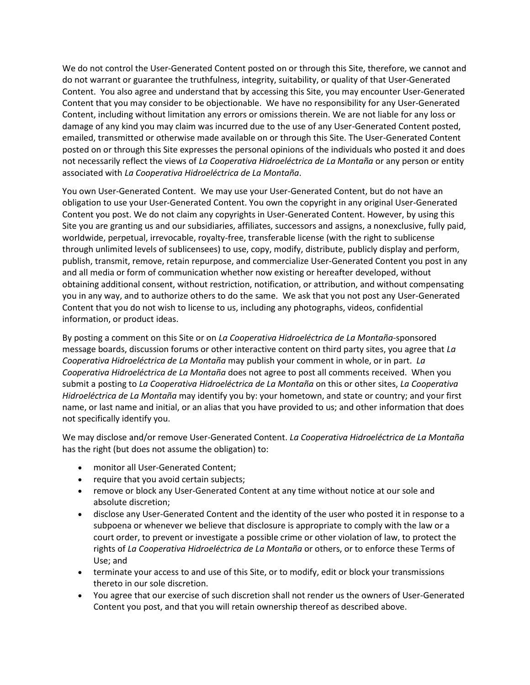We do not control the User-Generated Content posted on or through this Site, therefore, we cannot and do not warrant or guarantee the truthfulness, integrity, suitability, or quality of that User-Generated Content. You also agree and understand that by accessing this Site, you may encounter User-Generated Content that you may consider to be objectionable. We have no responsibility for any User-Generated Content, including without limitation any errors or omissions therein. We are not liable for any loss or damage of any kind you may claim was incurred due to the use of any User-Generated Content posted, emailed, transmitted or otherwise made available on or through this Site. The User-Generated Content posted on or through this Site expresses the personal opinions of the individuals who posted it and does not necessarily reflect the views of *La Cooperativa Hidroeléctrica de La Montaña* or any person or entity associated with *La Cooperativa Hidroeléctrica de La Montaña*.

You own User-Generated Content. We may use your User-Generated Content, but do not have an obligation to use your User-Generated Content. You own the copyright in any original User-Generated Content you post. We do not claim any copyrights in User-Generated Content. However, by using this Site you are granting us and our subsidiaries, affiliates, successors and assigns, a nonexclusive, fully paid, worldwide, perpetual, irrevocable, royalty-free, transferable license (with the right to sublicense through unlimited levels of sublicensees) to use, copy, modify, distribute, publicly display and perform, publish, transmit, remove, retain repurpose, and commercialize User-Generated Content you post in any and all media or form of communication whether now existing or hereafter developed, without obtaining additional consent, without restriction, notification, or attribution, and without compensating you in any way, and to authorize others to do the same. We ask that you not post any User-Generated Content that you do not wish to license to us, including any photographs, videos, confidential information, or product ideas.

By posting a comment on this Site or on *La Cooperativa Hidroeléctrica de La Montaña*-sponsored message boards, discussion forums or other interactive content on third party sites, you agree that *La Cooperativa Hidroeléctrica de La Montaña* may publish your comment in whole, or in part. *La Cooperativa Hidroeléctrica de La Montaña* does not agree to post all comments received. When you submit a posting to *La Cooperativa Hidroeléctrica de La Montaña* on this or other sites, *La Cooperativa Hidroeléctrica de La Montaña* may identify you by: your hometown, and state or country; and your first name, or last name and initial, or an alias that you have provided to us; and other information that does not specifically identify you.

We may disclose and/or remove User-Generated Content. *La Cooperativa Hidroeléctrica de La Montaña* has the right (but does not assume the obligation) to:

- monitor all User-Generated Content;
- require that you avoid certain subjects;
- remove or block any User-Generated Content at any time without notice at our sole and absolute discretion;
- disclose any User-Generated Content and the identity of the user who posted it in response to a subpoena or whenever we believe that disclosure is appropriate to comply with the law or a court order, to prevent or investigate a possible crime or other violation of law, to protect the rights of *La Cooperativa Hidroeléctrica de La Montaña* or others, or to enforce these Terms of Use; and
- terminate your access to and use of this Site, or to modify, edit or block your transmissions thereto in our sole discretion.
- You agree that our exercise of such discretion shall not render us the owners of User-Generated Content you post, and that you will retain ownership thereof as described above.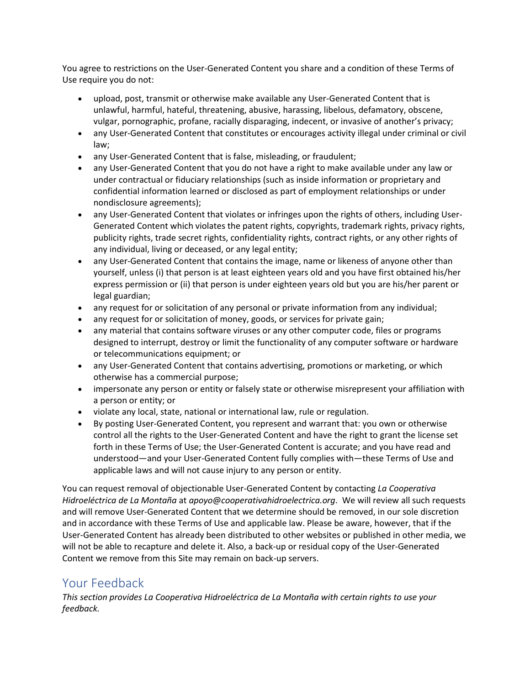You agree to restrictions on the User-Generated Content you share and a condition of these Terms of Use require you do not:

- upload, post, transmit or otherwise make available any User-Generated Content that is unlawful, harmful, hateful, threatening, abusive, harassing, libelous, defamatory, obscene, vulgar, pornographic, profane, racially disparaging, indecent, or invasive of another's privacy;
- any User-Generated Content that constitutes or encourages activity illegal under criminal or civil law;
- any User-Generated Content that is false, misleading, or fraudulent;
- any User-Generated Content that you do not have a right to make available under any law or under contractual or fiduciary relationships (such as inside information or proprietary and confidential information learned or disclosed as part of employment relationships or under nondisclosure agreements);
- any User-Generated Content that violates or infringes upon the rights of others, including User-Generated Content which violates the patent rights, copyrights, trademark rights, privacy rights, publicity rights, trade secret rights, confidentiality rights, contract rights, or any other rights of any individual, living or deceased, or any legal entity;
- any User-Generated Content that contains the image, name or likeness of anyone other than yourself, unless (i) that person is at least eighteen years old and you have first obtained his/her express permission or (ii) that person is under eighteen years old but you are his/her parent or legal guardian;
- any request for or solicitation of any personal or private information from any individual;
- any request for or solicitation of money, goods, or services for private gain;
- any material that contains software viruses or any other computer code, files or programs designed to interrupt, destroy or limit the functionality of any computer software or hardware or telecommunications equipment; or
- any User-Generated Content that contains advertising, promotions or marketing, or which otherwise has a commercial purpose;
- impersonate any person or entity or falsely state or otherwise misrepresent your affiliation with a person or entity; or
- violate any local, state, national or international law, rule or regulation.
- By posting User-Generated Content, you represent and warrant that: you own or otherwise control all the rights to the User-Generated Content and have the right to grant the license set forth in these Terms of Use; the User-Generated Content is accurate; and you have read and understood—and your User-Generated Content fully complies with—these Terms of Use and applicable laws and will not cause injury to any person or entity.

You can request removal of objectionable User-Generated Content by contacting *La Cooperativa Hidroeléctrica de La Montaña* at *apoyo*@*cooperativahidroelectrica.org*. We will review all such requests and will remove User-Generated Content that we determine should be removed, in our sole discretion and in accordance with these Terms of Use and applicable law. Please be aware, however, that if the User-Generated Content has already been distributed to other websites or published in other media, we will not be able to recapture and delete it. Also, a back-up or residual copy of the User-Generated Content we remove from this Site may remain on back-up servers.

# Your Feedback

*This section provides La Cooperativa Hidroeléctrica de La Montaña with certain rights to use your feedback.*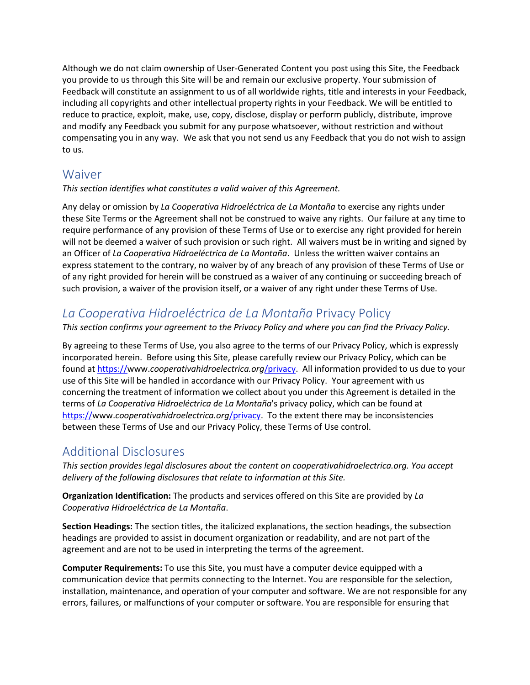Although we do not claim ownership of User-Generated Content you post using this Site, the Feedback you provide to us through this Site will be and remain our exclusive property. Your submission of Feedback will constitute an assignment to us of all worldwide rights, title and interests in your Feedback, including all copyrights and other intellectual property rights in your Feedback. We will be entitled to reduce to practice, exploit, make, use, copy, disclose, display or perform publicly, distribute, improve and modify any Feedback you submit for any purpose whatsoever, without restriction and without compensating you in any way. We ask that you not send us any Feedback that you do not wish to assign to us.

### Waiver

#### *This section identifies what constitutes a valid waiver of this Agreement.*

Any delay or omission by *La Cooperativa Hidroeléctrica de La Montaña* to exercise any rights under these Site Terms or the Agreement shall not be construed to waive any rights. Our failure at any time to require performance of any provision of these Terms of Use or to exercise any right provided for herein will not be deemed a waiver of such provision or such right. All waivers must be in writing and signed by an Officer of *La Cooperativa Hidroeléctrica de La Montaña*. Unless the written waiver contains an express statement to the contrary, no waiver by of any breach of any provision of these Terms of Use or of any right provided for herein will be construed as a waiver of any continuing or succeeding breach of such provision, a waiver of the provision itself, or a waiver of any right under these Terms of Use.

# *La Cooperativa Hidroeléctrica de La Montaña* Privacy Policy

*This section confirms your agreement to the Privacy Policy and where you can find the Privacy Policy.*

By agreeing to these Terms of Use, you also agree to the terms of our Privacy Policy, which is expressly incorporated herein. Before using this Site, please carefully review our Privacy Policy, which can be found at https://www.*[cooperativahidroelectrica.org](https://www.hover.com/privacy)*/privacy. All information provided to us due to your use of this Site will be handled in accordance with our Privacy Policy. Your agreement with us concerning the treatment of information we collect about you under this Agreement is detailed in the terms of *La Cooperativa Hidroeléctrica de La Montaña*'s privacy policy, which can be found at https://www.*[cooperativahidroelectrica.org](https://www.hover.com/privacy)*/privacy. To the extent there may be inconsistencies between these Terms of Use and our Privacy Policy, these Terms of Use control.

# Additional Disclosures

*This section provides legal disclosures about the content on cooperativahidroelectrica.org. You accept delivery of the following disclosures that relate to information at this Site.*

**Organization Identification:** The products and services offered on this Site are provided by *La Cooperativa Hidroeléctrica de La Montaña*.

**Section Headings:** The section titles, the italicized explanations, the section headings, the subsection headings are provided to assist in document organization or readability, and are not part of the agreement and are not to be used in interpreting the terms of the agreement.

**Computer Requirements:** To use this Site, you must have a computer device equipped with a communication device that permits connecting to the Internet. You are responsible for the selection, installation, maintenance, and operation of your computer and software. We are not responsible for any errors, failures, or malfunctions of your computer or software. You are responsible for ensuring that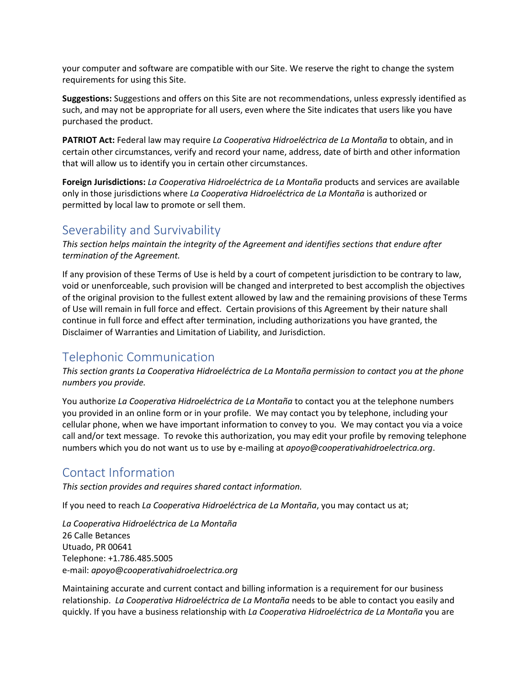your computer and software are compatible with our Site. We reserve the right to change the system requirements for using this Site.

**Suggestions:** Suggestions and offers on this Site are not recommendations, unless expressly identified as such, and may not be appropriate for all users, even where the Site indicates that users like you have purchased the product.

**PATRIOT Act:** Federal law may require *La Cooperativa Hidroeléctrica de La Montaña* to obtain, and in certain other circumstances, verify and record your name, address, date of birth and other information that will allow us to identify you in certain other circumstances.

**Foreign Jurisdictions:** *La Cooperativa Hidroeléctrica de La Montaña* products and services are available only in those jurisdictions where *La Cooperativa Hidroeléctrica de La Montaña* is authorized or permitted by local law to promote or sell them.

### Severability and Survivability

*This section helps maintain the integrity of the Agreement and identifies sections that endure after termination of the Agreement.*

If any provision of these Terms of Use is held by a court of competent jurisdiction to be contrary to law, void or unenforceable, such provision will be changed and interpreted to best accomplish the objectives of the original provision to the fullest extent allowed by law and the remaining provisions of these Terms of Use will remain in full force and effect. Certain provisions of this Agreement by their nature shall continue in full force and effect after termination, including authorizations you have granted, the Disclaimer of Warranties and Limitation of Liability, and Jurisdiction.

### Telephonic Communication

*This section grants La Cooperativa Hidroeléctrica de La Montaña permission to contact you at the phone numbers you provide.*

You authorize *La Cooperativa Hidroeléctrica de La Montaña* to contact you at the telephone numbers you provided in an online form or in your profile. We may contact you by telephone, including your cellular phone, when we have important information to convey to you. We may contact you via a voice call and/or text message. To revoke this authorization, you may edit your profile by removing telephone numbers which you do not want us to use by e-mailing at *apoyo*@*cooperativahidroelectrica.org*.

### Contact Information

*This section provides and requires shared contact information.*

If you need to reach *La Cooperativa Hidroeléctrica de La Montaña*, you may contact us at;

*La Cooperativa Hidroeléctrica de La Montaña* 26 Calle Betances Utuado, PR 00641 Telephone: +1.786.485.5005 e-mail: *apoyo*@*cooperativahidroelectrica.org*

Maintaining accurate and current contact and billing information is a requirement for our business relationship. *La Cooperativa Hidroeléctrica de La Montaña* needs to be able to contact you easily and quickly. If you have a business relationship with *La Cooperativa Hidroeléctrica de La Montaña* you are